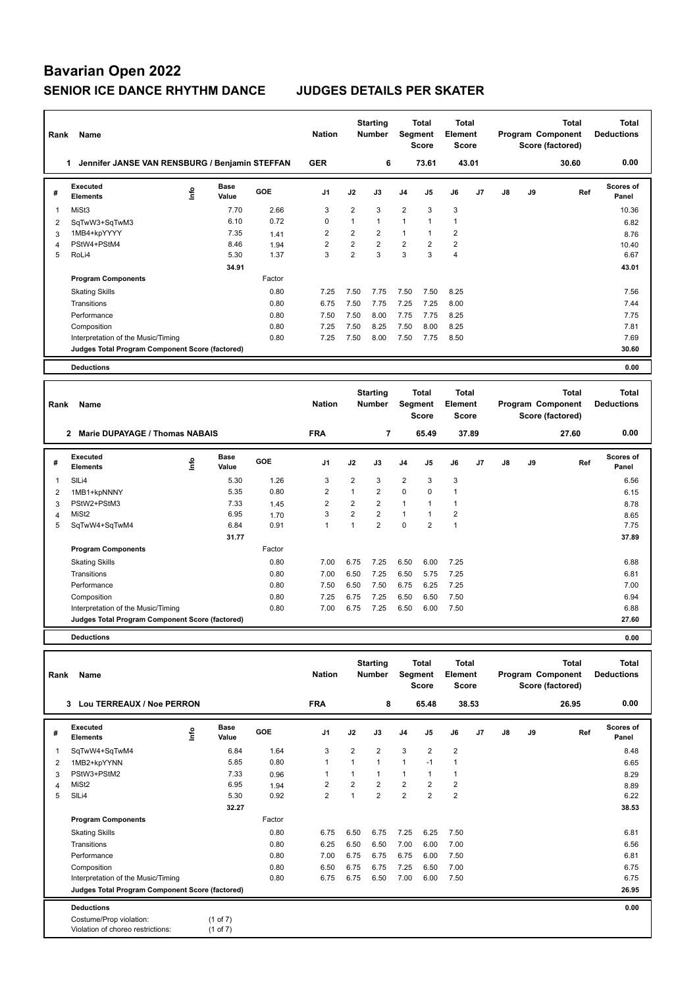# **Bavarian Open 2022 SENIOR ICE DANCE RHYTHM DANCE JUDGES DETAILS PER SKATER**

| Rank           | Name                                                  |      |                      |        | <b>Nation</b>  |                | <b>Starting</b><br><b>Number</b> |                | <b>Total</b><br>Segment<br><b>Score</b> | <b>Total</b><br>Element<br><b>Score</b> |    |    |    | <b>Total</b><br>Program Component<br>Score (factored) | <b>Total</b><br><b>Deductions</b> |
|----------------|-------------------------------------------------------|------|----------------------|--------|----------------|----------------|----------------------------------|----------------|-----------------------------------------|-----------------------------------------|----|----|----|-------------------------------------------------------|-----------------------------------|
|                | Jennifer JANSE VAN RENSBURG / Benjamin STEFFAN<br>1.  |      |                      |        | <b>GER</b>     |                | 6                                |                | 73.61                                   | 43.01                                   |    |    |    | 30.60                                                 | 0.00                              |
| #              | <b>Executed</b><br><b>Elements</b>                    | ۴ů   | <b>Base</b><br>Value | GOE    | J <sub>1</sub> | J2             | J3                               | J4             | J5                                      | J6                                      | J7 | J8 | J9 | Ref                                                   | <b>Scores of</b><br>Panel         |
| 1              | MiSt3                                                 |      | 7.70                 | 2.66   | 3              | $\overline{2}$ | 3                                | $\overline{2}$ | 3                                       | 3                                       |    |    |    |                                                       | 10.36                             |
| 2              | SqTwW3+SqTwM3                                         |      | 6.10                 | 0.72   | $\mathbf 0$    | $\mathbf{1}$   | $\mathbf{1}$                     | 1              | $\mathbf{1}$                            | $\mathbf{1}$                            |    |    |    |                                                       | 6.82                              |
| 3              | 1MB4+kpYYYY                                           |      | 7.35                 | 1.41   | $\overline{2}$ | $\overline{2}$ | $\overline{2}$                   | 1              | $\mathbf{1}$                            | $\overline{2}$                          |    |    |    |                                                       | 8.76                              |
| 4              | PStW4+PStM4                                           |      | 8.46                 | 1.94   | $\overline{2}$ | $\overline{2}$ | $\overline{2}$                   | 2              | $\overline{2}$                          | $\overline{2}$                          |    |    |    |                                                       | 10.40                             |
| 5              | RoLi4                                                 |      | 5.30                 | 1.37   | 3              | $\overline{2}$ | 3                                | 3              | 3                                       | $\overline{4}$                          |    |    |    |                                                       | 6.67                              |
|                |                                                       |      | 34.91                |        |                |                |                                  |                |                                         |                                         |    |    |    |                                                       | 43.01                             |
|                | <b>Program Components</b>                             |      |                      | Factor |                |                |                                  |                |                                         |                                         |    |    |    |                                                       |                                   |
|                | <b>Skating Skills</b>                                 |      |                      | 0.80   | 7.25           | 7.50           | 7.75                             | 7.50           | 7.50                                    | 8.25                                    |    |    |    |                                                       | 7.56                              |
|                | Transitions                                           |      |                      | 0.80   | 6.75           | 7.50           | 7.75                             | 7.25           | 7.25                                    | 8.00                                    |    |    |    |                                                       | 7.44                              |
|                | Performance                                           |      |                      | 0.80   | 7.50           | 7.50           | 8.00                             | 7.75           | 7.75                                    | 8.25                                    |    |    |    |                                                       | 7.75                              |
|                | Composition                                           |      |                      | 0.80   | 7.25           | 7.50           | 8.25                             | 7.50           | 8.00                                    | 8.25                                    |    |    |    |                                                       | 7.81                              |
|                | Interpretation of the Music/Timing                    |      |                      | 0.80   | 7.25           | 7.50           | 8.00                             | 7.50           | 7.75                                    | 8.50                                    |    |    |    |                                                       | 7.69                              |
|                | Judges Total Program Component Score (factored)       |      |                      |        |                |                |                                  |                |                                         |                                         |    |    |    |                                                       | 30.60                             |
|                | <b>Deductions</b>                                     |      |                      |        |                |                |                                  |                |                                         |                                         |    |    |    |                                                       | 0.00                              |
|                |                                                       |      |                      |        |                |                |                                  |                |                                         |                                         |    |    |    |                                                       |                                   |
| Rank           | Name                                                  |      |                      |        | <b>Nation</b>  |                | <b>Starting</b><br><b>Number</b> |                | <b>Total</b><br>Segment<br><b>Score</b> | <b>Total</b><br>Element<br><b>Score</b> |    |    |    | <b>Total</b><br>Program Component<br>Score (factored) | <b>Total</b><br><b>Deductions</b> |
|                | <b>Marie DUPAYAGE / Thomas NABAIS</b><br>$\mathbf{2}$ |      |                      |        | <b>FRA</b>     |                | 7                                |                | 65.49                                   | 37.89                                   |    |    |    | 27.60                                                 | 0.00                              |
| #              | <b>Executed</b><br><b>Elements</b>                    | ١nfo | Base<br>Value        | GOE    | J <sub>1</sub> | J2             | J3                               | J <sub>4</sub> | J5                                      | J6                                      | J7 | J8 | J9 | Ref                                                   | Scores of<br>Panel                |
| 1              | SILi4                                                 |      | 5.30                 | 1.26   | 3              | $\overline{2}$ | 3                                | $\overline{2}$ | 3                                       | 3                                       |    |    |    |                                                       | 6.56                              |
| $\overline{2}$ | 1MB1+kpNNNY                                           |      | 5.35                 | 0.80   | $\overline{2}$ | $\mathbf{1}$   | $\overline{2}$                   | 0              | $\mathbf 0$                             | $\mathbf{1}$                            |    |    |    |                                                       | 6.15                              |
| 3              | PStW2+PStM3                                           |      | 7.33                 | 1.45   | 2              | $\overline{2}$ | $\overline{2}$                   | 1              | $\mathbf{1}$                            | $\mathbf{1}$                            |    |    |    |                                                       | 8.78                              |
| 4              | MiSt <sub>2</sub>                                     |      | 6.95                 | 1.70   | 3              | $\overline{2}$ | $\overline{2}$                   | 1              | $\mathbf{1}$                            | $\overline{2}$                          |    |    |    |                                                       | 8.65                              |
| 5              | SqTwW4+SqTwM4                                         |      | 6.84                 | 0.91   | $\overline{1}$ | 1              | $\overline{2}$                   | $\Omega$       | $\overline{2}$                          | $\mathbf{1}$                            |    |    |    |                                                       | 7.75                              |

| # | <b>Executed</b><br><b>Elements</b>              | ١nf٥ | <b>Base</b><br>Value | <b>GOE</b> | J <sub>1</sub> | J2             | J3             | J <sub>4</sub> | J5   | J6   | J7 | J8 | J9 | Ref | <b>Scores of</b><br>Panel |
|---|-------------------------------------------------|------|----------------------|------------|----------------|----------------|----------------|----------------|------|------|----|----|----|-----|---------------------------|
|   | SIL <sub>i4</sub>                               |      | 5.30                 | 1.26       | 3              | 2              | 3              | 2              | 3    | 3    |    |    |    |     | 6.56                      |
| 2 | 1MB1+kpNNNY                                     |      | 5.35                 | 0.80       | 2              |                | 2              | 0              | 0    |      |    |    |    |     | 6.15                      |
| 3 | PStW2+PStM3                                     |      | 7.33                 | 1.45       | 2              | $\overline{2}$ | 2              |                | 1    |      |    |    |    |     | 8.78                      |
| 4 | MiSt <sub>2</sub>                               |      | 6.95                 | 1.70       | 3              | $\overline{2}$ | 2              |                | 4    | 2    |    |    |    |     | 8.65                      |
| 5 | SqTwW4+SqTwM4                                   |      | 6.84                 | 0.91       |                |                | $\overline{2}$ | 0              | 2    |      |    |    |    |     | 7.75                      |
|   |                                                 |      | 31.77                |            |                |                |                |                |      |      |    |    |    |     | 37.89                     |
|   | <b>Program Components</b>                       |      |                      | Factor     |                |                |                |                |      |      |    |    |    |     |                           |
|   | <b>Skating Skills</b>                           |      |                      | 0.80       | 7.00           | 6.75           | 7.25           | 6.50           | 6.00 | 7.25 |    |    |    |     | 6.88                      |
|   | Transitions                                     |      |                      | 0.80       | 7.00           | 6.50           | 7.25           | 6.50           | 5.75 | 7.25 |    |    |    |     | 6.81                      |
|   | Performance                                     |      |                      | 0.80       | 7.50           | 6.50           | 7.50           | 6.75           | 6.25 | 7.25 |    |    |    |     | 7.00                      |
|   | Composition                                     |      |                      | 0.80       | 7.25           | 6.75           | 7.25           | 6.50           | 6.50 | 7.50 |    |    |    |     | 6.94                      |
|   | Interpretation of the Music/Timing              |      |                      | 0.80       | 7.00           | 6.75           | 7.25           | 6.50           | 6.00 | 7.50 |    |    |    |     | 6.88                      |
|   | Judges Total Program Component Score (factored) |      |                      |            |                |                |                |                |      |      |    |    |    |     | 27.60                     |

**Deductions 0.00**

| Rank | Name                                                         |      |                              |            |                |                | <b>Starting</b><br><b>Number</b> | <b>Total</b><br>Segment<br><b>Score</b> |                | <b>Total</b><br>Element<br><b>Score</b> |       | Program Component |    | <b>Total</b><br>Score (factored) | <b>Total</b><br><b>Deductions</b> |
|------|--------------------------------------------------------------|------|------------------------------|------------|----------------|----------------|----------------------------------|-----------------------------------------|----------------|-----------------------------------------|-------|-------------------|----|----------------------------------|-----------------------------------|
|      | Lou TERREAUX / Noe PERRON<br>3                               |      |                              |            | <b>FRA</b>     |                | 8                                |                                         | 65.48          |                                         | 38.53 |                   |    | 26.95                            | 0.00                              |
| #    | Executed<br><b>Elements</b>                                  | ١mfo | <b>Base</b><br>Value         | <b>GOE</b> | J <sub>1</sub> | J2             | J3                               | J <sub>4</sub>                          | J <sub>5</sub> | J6                                      | J7    | J8                | J9 | Ref                              | <b>Scores of</b><br>Panel         |
| 1    | SqTwW4+SqTwM4                                                |      | 6.84                         | 1.64       | 3              | $\overline{2}$ | $\overline{2}$                   | 3                                       | 2              | $\overline{2}$                          |       |                   |    |                                  | 8.48                              |
| 2    | 1MB2+kpYYNN                                                  |      | 5.85                         | 0.80       | $\mathbf{1}$   | 1              | $\mathbf{1}$                     | $\overline{1}$                          | $-1$           | $\mathbf{1}$                            |       |                   |    |                                  | 6.65                              |
| 3    | PStW3+PStM2                                                  |      | 7.33                         | 0.96       | $\mathbf 1$    | 1              | 1                                | 1                                       | $\mathbf{1}$   | $\mathbf{1}$                            |       |                   |    |                                  | 8.29                              |
| 4    | MiSt <sub>2</sub>                                            |      | 6.95                         | 1.94       | 2              | 2              | $\overline{2}$                   | $\overline{2}$                          | $\overline{2}$ | $\overline{2}$                          |       |                   |    |                                  | 8.89                              |
| 5    | SIL <sub>i4</sub>                                            |      | 5.30                         | 0.92       | $\overline{2}$ | $\overline{1}$ | $\overline{2}$                   | $\overline{2}$                          | $\overline{2}$ | $\overline{2}$                          |       |                   |    |                                  | 6.22                              |
|      |                                                              |      | 32.27                        |            |                |                |                                  |                                         |                |                                         |       |                   |    |                                  | 38.53                             |
|      | <b>Program Components</b>                                    |      |                              | Factor     |                |                |                                  |                                         |                |                                         |       |                   |    |                                  |                                   |
|      | <b>Skating Skills</b>                                        |      |                              | 0.80       | 6.75           | 6.50           | 6.75                             | 7.25                                    | 6.25           | 7.50                                    |       |                   |    |                                  | 6.81                              |
|      | Transitions                                                  |      |                              | 0.80       | 6.25           | 6.50           | 6.50                             | 7.00                                    | 6.00           | 7.00                                    |       |                   |    |                                  | 6.56                              |
|      | Performance                                                  |      |                              | 0.80       | 7.00           | 6.75           | 6.75                             | 6.75                                    | 6.00           | 7.50                                    |       |                   |    |                                  | 6.81                              |
|      | Composition                                                  |      |                              | 0.80       | 6.50           | 6.75           | 6.75                             | 7.25                                    | 6.50           | 7.00                                    |       |                   |    |                                  | 6.75                              |
|      | Interpretation of the Music/Timing                           |      |                              | 0.80       | 6.75           | 6.75           | 6.50                             | 7.00                                    | 6.00           | 7.50                                    |       |                   |    |                                  | 6.75                              |
|      | Judges Total Program Component Score (factored)              |      |                              |            |                |                |                                  |                                         |                |                                         |       |                   |    |                                  | 26.95                             |
|      | <b>Deductions</b>                                            |      |                              |            |                |                |                                  |                                         |                |                                         |       |                   |    |                                  | 0.00                              |
|      | Costume/Prop violation:<br>Violation of choreo restrictions: |      | $(1$ of $7)$<br>$(1$ of $7)$ |            |                |                |                                  |                                         |                |                                         |       |                   |    |                                  |                                   |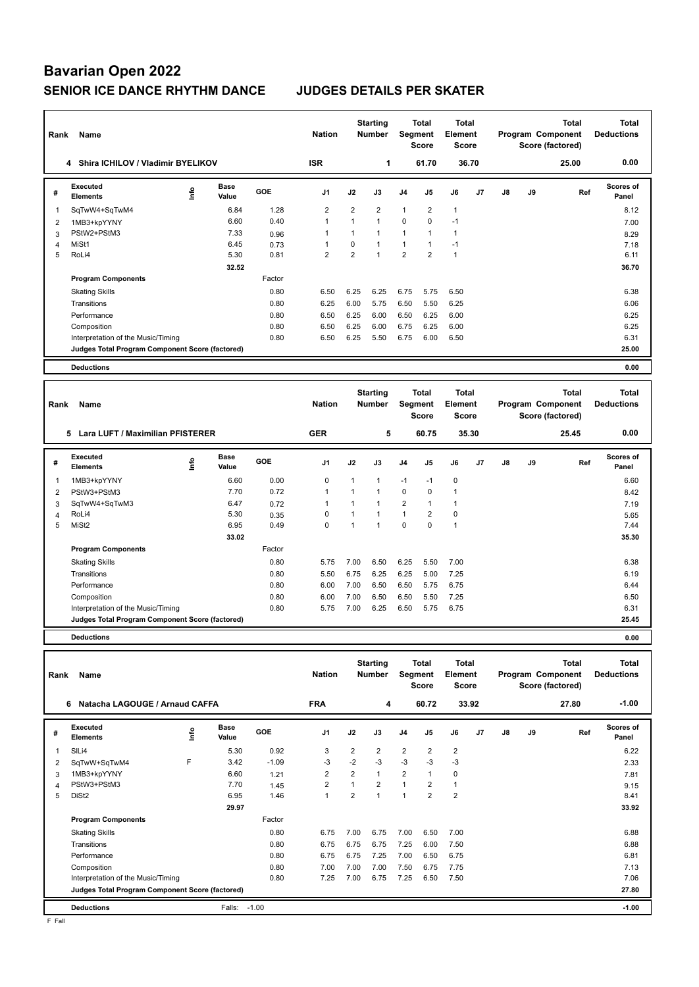# **Bavarian Open 2022 SENIOR ICE DANCE RHYTHM DANCE JUDGES DETAILS PER SKATER**

| Rank           | Name                                            |      |                      |        | <b>Nation</b>                                     |                | <b>Starting</b><br><b>Number</b> |                                         | Total<br>Segment<br><b>Score</b> | Total<br>Element<br><b>Score</b>        |       |                   |    | Total<br>Program Component<br>Score (factored) | <b>Total</b><br><b>Deductions</b> |
|----------------|-------------------------------------------------|------|----------------------|--------|---------------------------------------------------|----------------|----------------------------------|-----------------------------------------|----------------------------------|-----------------------------------------|-------|-------------------|----|------------------------------------------------|-----------------------------------|
|                | <b>Shira ICHILOV / Vladimir BYELIKOV</b><br>4   |      |                      |        | <b>ISR</b>                                        |                | 1                                |                                         | 61.70                            |                                         | 36.70 |                   |    | 25.00                                          | 0.00                              |
| #              | Executed<br><b>Elements</b>                     | ١nfo | <b>Base</b><br>Value | GOE    | J1                                                | J2             | J3                               | J4                                      | J5                               | J6                                      | J7    | J8                | J9 | Ref                                            | Scores of<br>Panel                |
| $\mathbf{1}$   | SqTwW4+SqTwM4                                   |      | 6.84                 | 1.28   | $\overline{2}$                                    | $\overline{2}$ | $\overline{2}$                   | $\mathbf{1}$                            | $\overline{2}$                   | 1                                       |       |                   |    |                                                | 8.12                              |
| 2              | 1MB3+kpYYNY                                     |      | 6.60                 | 0.40   | $\mathbf{1}$                                      | $\mathbf{1}$   | $\mathbf{1}$                     | $\mathbf 0$                             | $\mathbf 0$                      | $-1$                                    |       |                   |    |                                                | 7.00                              |
| 3              | PStW2+PStM3                                     |      | 7.33                 | 0.96   | $\mathbf{1}$                                      | $\mathbf{1}$   | $\mathbf{1}$                     | $\mathbf{1}$                            | $\mathbf{1}$                     | $\mathbf{1}$                            |       |                   |    |                                                | 8.29                              |
| 4              | MiSt1                                           |      | 6.45                 | 0.73   | $\mathbf{1}$                                      | 0              | $\mathbf{1}$                     | $\mathbf{1}$                            | $\mathbf{1}$                     | $-1$                                    |       |                   |    |                                                | 7.18                              |
| 5              | RoLi4                                           |      | 5.30                 | 0.81   | $\overline{2}$                                    | $\overline{2}$ | $\mathbf{1}$                     | $\overline{2}$                          | $\overline{2}$                   | $\mathbf{1}$                            |       |                   |    |                                                | 6.11                              |
|                |                                                 |      | 32.52                |        |                                                   |                |                                  |                                         |                                  |                                         |       |                   |    |                                                | 36.70                             |
|                | <b>Program Components</b>                       |      |                      | Factor |                                                   |                |                                  |                                         |                                  |                                         |       |                   |    |                                                |                                   |
|                | <b>Skating Skills</b>                           |      |                      | 0.80   | 6.50                                              | 6.25           | 6.25                             | 6.75                                    | 5.75                             | 6.50                                    |       |                   |    |                                                | 6.38                              |
|                | Transitions                                     |      |                      | 0.80   | 6.25                                              | 6.00           | 5.75                             | 6.50                                    | 5.50                             | 6.25                                    |       |                   |    |                                                | 6.06                              |
|                | Performance                                     |      |                      | 0.80   | 6.50                                              | 6.25           | 6.00                             | 6.50                                    | 6.25                             | 6.00                                    |       |                   |    |                                                | 6.25                              |
|                | Composition                                     |      |                      | 0.80   | 6.50                                              | 6.25           | 6.00                             | 6.75                                    | 6.25                             | 6.00                                    |       |                   |    |                                                | 6.25                              |
|                | Interpretation of the Music/Timing              |      |                      | 0.80   | 6.50                                              | 6.25           | 5.50                             | 6.75                                    | 6.00                             | 6.50                                    |       |                   |    |                                                | 6.31                              |
|                | Judges Total Program Component Score (factored) |      |                      |        |                                                   |                |                                  |                                         |                                  |                                         |       |                   |    |                                                | 25.00                             |
|                |                                                 |      |                      |        |                                                   |                |                                  |                                         |                                  |                                         |       |                   |    |                                                |                                   |
|                | <b>Deductions</b>                               |      |                      |        |                                                   |                |                                  |                                         |                                  |                                         |       |                   |    |                                                | 0.00                              |
|                |                                                 |      |                      |        |                                                   |                |                                  |                                         |                                  |                                         |       |                   |    |                                                |                                   |
| Rank           | Name                                            |      |                      |        | <b>Starting</b><br><b>Nation</b><br><b>Number</b> |                |                                  | <b>Total</b><br>Segment<br><b>Score</b> |                                  | <b>Total</b><br>Element<br><b>Score</b> |       | Program Component |    | <b>Total</b><br>Score (factored)               | <b>Total</b><br><b>Deductions</b> |
|                | 5 Lara LUFT / Maximilian PFISTERER              |      |                      |        | <b>GER</b>                                        |                | 5                                |                                         | 60.75                            |                                         | 35.30 |                   |    | 25.45                                          | 0.00                              |
| #              | Executed<br><b>Elements</b>                     | lnfo | <b>Base</b><br>Value | GOE    | J <sub>1</sub>                                    | J2             | J3                               | J <sub>4</sub>                          | J5                               | J6                                      | J7    | J8                | J9 | Ref                                            | Scores of<br>Panel                |
| $\mathbf{1}$   | 1MB3+kpYYNY                                     |      | 6.60                 | 0.00   | $\mathbf 0$                                       | 1              | 1                                | $-1$                                    | $-1$                             | 0                                       |       |                   |    |                                                | 6.60                              |
| $\overline{2}$ | PStW3+PStM3                                     |      | 7.70                 | 0.72   | $\mathbf{1}$                                      | $\mathbf{1}$   | $\mathbf{1}$                     | $\mathbf 0$                             | 0                                | $\mathbf{1}$                            |       |                   |    |                                                | 8.42                              |
| 3              | SqTwW4+SqTwM3                                   |      | 6.47                 | 0.72   | $\mathbf{1}$                                      | $\mathbf{1}$   | 1                                | $\overline{2}$                          | $\mathbf{1}$                     | $\mathbf{1}$                            |       |                   |    |                                                | 7.19                              |
| 4              | RoLi4                                           |      | 5.30                 | 0.35   | $\mathbf 0$                                       | $\mathbf{1}$   | $\mathbf{1}$                     | $\mathbf{1}$                            | $\overline{2}$                   | 0                                       |       |                   |    |                                                | 5.65                              |
| 5              | MiSt <sub>2</sub>                               |      | 6.95                 | 0.49   | $\mathbf 0$                                       | $\mathbf{1}$   | 1                                | $\Omega$                                | $\Omega$                         | $\mathbf{1}$                            |       |                   |    |                                                | 7.44                              |
|                |                                                 |      | 33.02                |        |                                                   |                |                                  |                                         |                                  |                                         |       |                   |    |                                                | 35.30                             |
|                | <b>Program Components</b>                       |      |                      | Factor |                                                   |                |                                  |                                         |                                  |                                         |       |                   |    |                                                |                                   |
|                | <b>Skating Skills</b>                           |      |                      | 0.80   | 5.75                                              | 7.00           | 6.50                             | 6.25                                    | 5.50                             | 7.00                                    |       |                   |    |                                                | 6.38                              |
|                | Transitions                                     |      |                      | 0.80   | 5.50                                              | 6.75           | 6.25                             | 6.25                                    | 5.00                             | 7.25                                    |       |                   |    |                                                | 6.19                              |
|                | Performance                                     |      |                      | 0.80   | 6.00                                              | 7.00           | 6.50                             | 6.50                                    | 5.75                             | 6.75                                    |       |                   |    |                                                | 6.44                              |

**Deductions 0.00**

| Rank | Name                                            | <b>Nation</b> | <b>Starting</b><br>Total<br><b>Number</b><br>Segment<br><b>Score</b> |         |                |                | <b>Total</b><br>Element<br><b>Score</b> |                | <b>Total</b><br>Program Component<br>Score (factored) |                |       | <b>Total</b><br><b>Deductions</b> |    |       |                           |
|------|-------------------------------------------------|---------------|----------------------------------------------------------------------|---------|----------------|----------------|-----------------------------------------|----------------|-------------------------------------------------------|----------------|-------|-----------------------------------|----|-------|---------------------------|
|      | Natacha LAGOUGE / Arnaud CAFFA<br>6             |               |                                                                      |         | <b>FRA</b>     |                | 4                                       |                | 60.72                                                 |                | 33.92 |                                   |    | 27.80 | $-1.00$                   |
| #    | Executed<br><b>Elements</b>                     | ١m            | Base<br>Value                                                        | GOE     | J <sub>1</sub> | J2             | J3                                      | J <sub>4</sub> | J <sub>5</sub>                                        | J6             | J7    | J8                                | J9 | Ref   | <b>Scores of</b><br>Panel |
| 1    | SILi4                                           |               | 5.30                                                                 | 0.92    | 3              | $\overline{2}$ | $\overline{2}$                          | $\overline{2}$ | $\overline{2}$                                        | $\overline{2}$ |       |                                   |    |       | 6.22                      |
| 2    | SqTwW+SqTwM4                                    | F             | 3.42                                                                 | $-1.09$ | $-3$           | $-2$           | $-3$                                    | $-3$           | $-3$                                                  | $-3$           |       |                                   |    |       | 2.33                      |
| 3    | 1MB3+kpYYNY                                     |               | 6.60                                                                 | 1.21    | 2              | $\overline{2}$ | 1                                       | $\overline{2}$ | $\mathbf{1}$                                          | $\mathbf 0$    |       |                                   |    |       | 7.81                      |
| 4    | PStW3+PStM3                                     |               | 7.70                                                                 | 1.45    | $\overline{2}$ |                | $\overline{2}$                          | $\overline{1}$ | $\overline{2}$                                        | $\mathbf{1}$   |       |                                   |    |       | 9.15                      |
| 5    | DiSt <sub>2</sub>                               |               | 6.95                                                                 | 1.46    | $\mathbf{1}$   | $\overline{2}$ | 1                                       | 1              | $\overline{2}$                                        | $\overline{2}$ |       |                                   |    |       | 8.41                      |
|      |                                                 |               | 29.97                                                                |         |                |                |                                         |                |                                                       |                |       |                                   |    |       | 33.92                     |
|      | <b>Program Components</b>                       |               |                                                                      | Factor  |                |                |                                         |                |                                                       |                |       |                                   |    |       |                           |
|      | <b>Skating Skills</b>                           |               |                                                                      | 0.80    | 6.75           | 7.00           | 6.75                                    | 7.00           | 6.50                                                  | 7.00           |       |                                   |    |       | 6.88                      |
|      | Transitions                                     |               |                                                                      | 0.80    | 6.75           | 6.75           | 6.75                                    | 7.25           | 6.00                                                  | 7.50           |       |                                   |    |       | 6.88                      |
|      | Performance                                     |               |                                                                      | 0.80    | 6.75           | 6.75           | 7.25                                    | 7.00           | 6.50                                                  | 6.75           |       |                                   |    |       | 6.81                      |
|      | Composition                                     |               |                                                                      | 0.80    | 7.00           | 7.00           | 7.00                                    | 7.50           | 6.75                                                  | 7.75           |       |                                   |    |       | 7.13                      |
|      | Interpretation of the Music/Timing              |               |                                                                      | 0.80    | 7.25           | 7.00           | 6.75                                    | 7.25           | 6.50                                                  | 7.50           |       |                                   |    |       | 7.06                      |
|      | Judges Total Program Component Score (factored) |               |                                                                      |         |                |                |                                         |                |                                                       |                |       |                                   |    |       | 27.80                     |
|      | <b>Deductions</b>                               |               | Falls:                                                               | $-1.00$ |                |                |                                         |                |                                                       |                |       |                                   |    |       | $-1.00$                   |

Composition 0.80 6.00 7.00 6.50 6.50 5.50 7.25 6.50 Interpretation of the Music/Timing 0.80 5.75 7.00 6.25 6.50 5.75 6.75 6.75 6.31 6.31

**Judges Total Program Component Score (factored) 25.45**